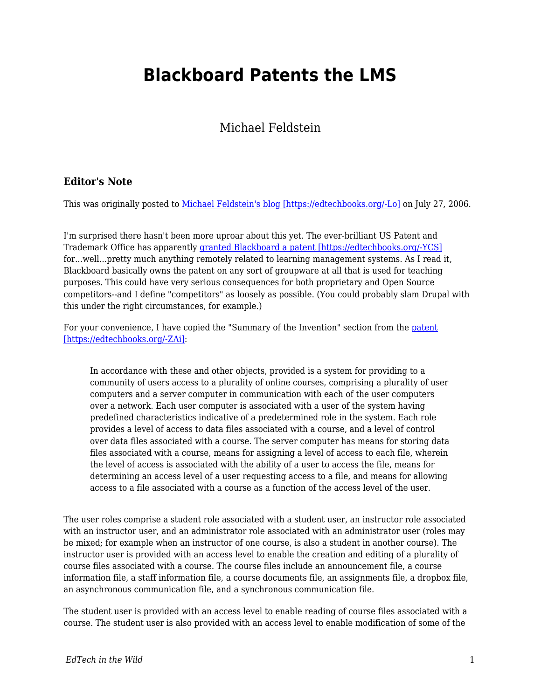## **Blackboard Patents the LMS**

Michael Feldstein

## **Editor's Note**

This was originally posted to [Michael Feldstein's blog \[https://edtechbooks.org/-Lo\]](https://mfeldstein.com/blackboard_patents_the_lms/) on July 27, 2006.

I'm surprised there hasn't been more uproar about this yet. The ever-brilliant US Patent and Trademark Office has apparently [granted Blackboard a patent \[https://edtechbooks.org/-YCS\]](http://www.blackboard.com/company/press/release.aspx?id=887622) for...well...pretty much anything remotely related to learning management systems. As I read it, Blackboard basically owns the patent on any sort of groupware at all that is used for teaching purposes. This could have very serious consequences for both proprietary and Open Source competitors--and I define "competitors" as loosely as possible. (You could probably slam Drupal with this under the right circumstances, for example.)

For your convenience, I have copied the "Summary of the Invention" section from the [patent](http://patft.uspto.gov/netacgi/nph-Parser?Sect1=PTO1&Sect2=HITOFF&d=PALL&p=1&u=%2Fnetahtml%2FPTO%2Fsrchnum.htm&r=1&f=G&l=50&s1=6988138.PN.&OS=PN/6988138&RS=PN/6988138) [\[https://edtechbooks.org/-ZAi\]](http://patft.uspto.gov/netacgi/nph-Parser?Sect1=PTO1&Sect2=HITOFF&d=PALL&p=1&u=%2Fnetahtml%2FPTO%2Fsrchnum.htm&r=1&f=G&l=50&s1=6988138.PN.&OS=PN/6988138&RS=PN/6988138):

In accordance with these and other objects, provided is a system for providing to a community of users access to a plurality of online courses, comprising a plurality of user computers and a server computer in communication with each of the user computers over a network. Each user computer is associated with a user of the system having predefined characteristics indicative of a predetermined role in the system. Each role provides a level of access to data files associated with a course, and a level of control over data files associated with a course. The server computer has means for storing data files associated with a course, means for assigning a level of access to each file, wherein the level of access is associated with the ability of a user to access the file, means for determining an access level of a user requesting access to a file, and means for allowing access to a file associated with a course as a function of the access level of the user.

The user roles comprise a student role associated with a student user, an instructor role associated with an instructor user, and an administrator role associated with an administrator user (roles may be mixed; for example when an instructor of one course, is also a student in another course). The instructor user is provided with an access level to enable the creation and editing of a plurality of course files associated with a course. The course files include an announcement file, a course information file, a staff information file, a course documents file, an assignments file, a dropbox file, an asynchronous communication file, and a synchronous communication file.

The student user is provided with an access level to enable reading of course files associated with a course. The student user is also provided with an access level to enable modification of some of the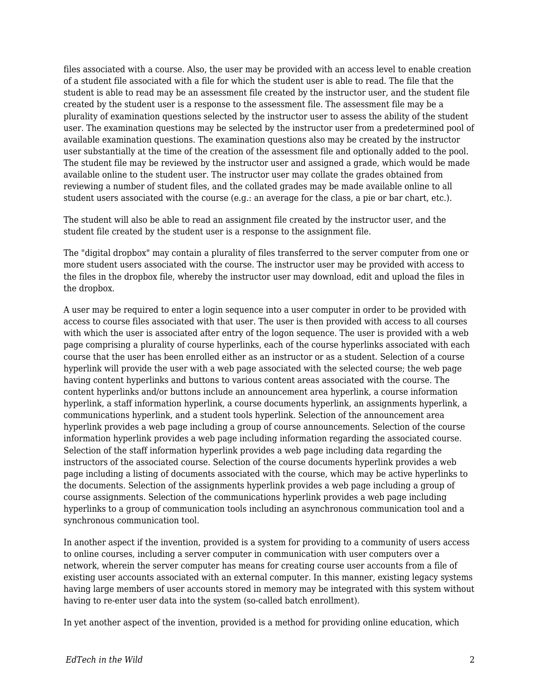files associated with a course. Also, the user may be provided with an access level to enable creation of a student file associated with a file for which the student user is able to read. The file that the student is able to read may be an assessment file created by the instructor user, and the student file created by the student user is a response to the assessment file. The assessment file may be a plurality of examination questions selected by the instructor user to assess the ability of the student user. The examination questions may be selected by the instructor user from a predetermined pool of available examination questions. The examination questions also may be created by the instructor user substantially at the time of the creation of the assessment file and optionally added to the pool. The student file may be reviewed by the instructor user and assigned a grade, which would be made available online to the student user. The instructor user may collate the grades obtained from reviewing a number of student files, and the collated grades may be made available online to all student users associated with the course (e.g.: an average for the class, a pie or bar chart, etc.).

The student will also be able to read an assignment file created by the instructor user, and the student file created by the student user is a response to the assignment file.

The "digital dropbox" may contain a plurality of files transferred to the server computer from one or more student users associated with the course. The instructor user may be provided with access to the files in the dropbox file, whereby the instructor user may download, edit and upload the files in the dropbox.

A user may be required to enter a login sequence into a user computer in order to be provided with access to course files associated with that user. The user is then provided with access to all courses with which the user is associated after entry of the logon sequence. The user is provided with a web page comprising a plurality of course hyperlinks, each of the course hyperlinks associated with each course that the user has been enrolled either as an instructor or as a student. Selection of a course hyperlink will provide the user with a web page associated with the selected course; the web page having content hyperlinks and buttons to various content areas associated with the course. The content hyperlinks and/or buttons include an announcement area hyperlink, a course information hyperlink, a staff information hyperlink, a course documents hyperlink, an assignments hyperlink, a communications hyperlink, and a student tools hyperlink. Selection of the announcement area hyperlink provides a web page including a group of course announcements. Selection of the course information hyperlink provides a web page including information regarding the associated course. Selection of the staff information hyperlink provides a web page including data regarding the instructors of the associated course. Selection of the course documents hyperlink provides a web page including a listing of documents associated with the course, which may be active hyperlinks to the documents. Selection of the assignments hyperlink provides a web page including a group of course assignments. Selection of the communications hyperlink provides a web page including hyperlinks to a group of communication tools including an asynchronous communication tool and a synchronous communication tool.

In another aspect if the invention, provided is a system for providing to a community of users access to online courses, including a server computer in communication with user computers over a network, wherein the server computer has means for creating course user accounts from a file of existing user accounts associated with an external computer. In this manner, existing legacy systems having large members of user accounts stored in memory may be integrated with this system without having to re-enter user data into the system (so-called batch enrollment).

In yet another aspect of the invention, provided is a method for providing online education, which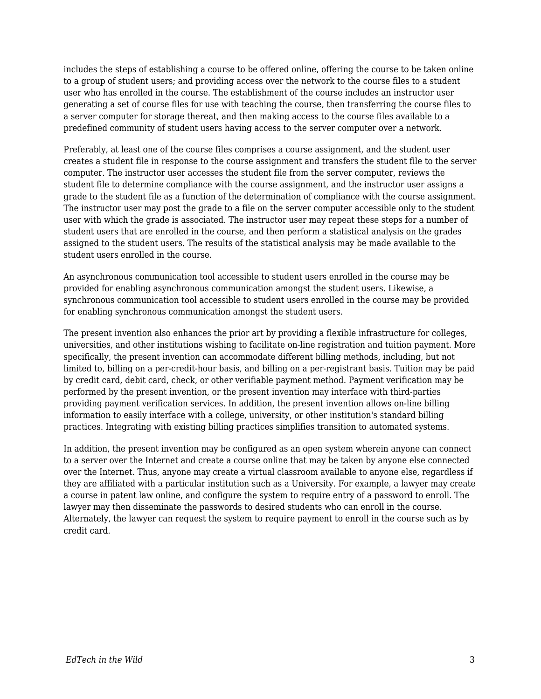includes the steps of establishing a course to be offered online, offering the course to be taken online to a group of student users; and providing access over the network to the course files to a student user who has enrolled in the course. The establishment of the course includes an instructor user generating a set of course files for use with teaching the course, then transferring the course files to a server computer for storage thereat, and then making access to the course files available to a predefined community of student users having access to the server computer over a network.

Preferably, at least one of the course files comprises a course assignment, and the student user creates a student file in response to the course assignment and transfers the student file to the server computer. The instructor user accesses the student file from the server computer, reviews the student file to determine compliance with the course assignment, and the instructor user assigns a grade to the student file as a function of the determination of compliance with the course assignment. The instructor user may post the grade to a file on the server computer accessible only to the student user with which the grade is associated. The instructor user may repeat these steps for a number of student users that are enrolled in the course, and then perform a statistical analysis on the grades assigned to the student users. The results of the statistical analysis may be made available to the student users enrolled in the course.

An asynchronous communication tool accessible to student users enrolled in the course may be provided for enabling asynchronous communication amongst the student users. Likewise, a synchronous communication tool accessible to student users enrolled in the course may be provided for enabling synchronous communication amongst the student users.

The present invention also enhances the prior art by providing a flexible infrastructure for colleges, universities, and other institutions wishing to facilitate on-line registration and tuition payment. More specifically, the present invention can accommodate different billing methods, including, but not limited to, billing on a per-credit-hour basis, and billing on a per-registrant basis. Tuition may be paid by credit card, debit card, check, or other verifiable payment method. Payment verification may be performed by the present invention, or the present invention may interface with third-parties providing payment verification services. In addition, the present invention allows on-line billing information to easily interface with a college, university, or other institution's standard billing practices. Integrating with existing billing practices simplifies transition to automated systems.

In addition, the present invention may be configured as an open system wherein anyone can connect to a server over the Internet and create a course online that may be taken by anyone else connected over the Internet. Thus, anyone may create a virtual classroom available to anyone else, regardless if they are affiliated with a particular institution such as a University. For example, a lawyer may create a course in patent law online, and configure the system to require entry of a password to enroll. The lawyer may then disseminate the passwords to desired students who can enroll in the course. Alternately, the lawyer can request the system to require payment to enroll in the course such as by credit card.